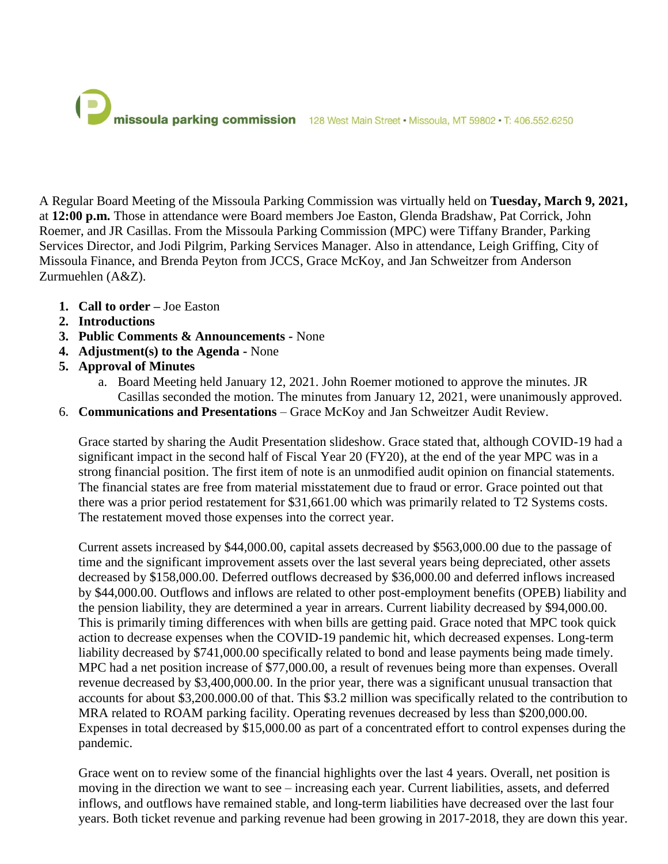

A Regular Board Meeting of the Missoula Parking Commission was virtually held on **Tuesday, March 9, 2021,** at **12:00 p.m.** Those in attendance were Board members Joe Easton, Glenda Bradshaw, Pat Corrick, John Roemer, and JR Casillas. From the Missoula Parking Commission (MPC) were Tiffany Brander, Parking Services Director, and Jodi Pilgrim, Parking Services Manager. Also in attendance, Leigh Griffing, City of Missoula Finance, and Brenda Peyton from JCCS, Grace McKoy, and Jan Schweitzer from Anderson Zurmuehlen (A&Z).

- **1. Call to order –** Joe Easton
- **2. Introductions**
- **3. Public Comments & Announcements -** None
- **4. Adjustment(s) to the Agenda -** None
- **5. Approval of Minutes**
	- a. Board Meeting held January 12, 2021. John Roemer motioned to approve the minutes. JR Casillas seconded the motion. The minutes from January 12, 2021, were unanimously approved.
- 6. **Communications and Presentations** Grace McKoy and Jan Schweitzer Audit Review.

Grace started by sharing the Audit Presentation slideshow. Grace stated that, although COVID-19 had a significant impact in the second half of Fiscal Year 20 (FY20), at the end of the year MPC was in a strong financial position. The first item of note is an unmodified audit opinion on financial statements. The financial states are free from material misstatement due to fraud or error. Grace pointed out that there was a prior period restatement for \$31,661.00 which was primarily related to T2 Systems costs. The restatement moved those expenses into the correct year.

Current assets increased by \$44,000.00, capital assets decreased by \$563,000.00 due to the passage of time and the significant improvement assets over the last several years being depreciated, other assets decreased by \$158,000.00. Deferred outflows decreased by \$36,000.00 and deferred inflows increased by \$44,000.00. Outflows and inflows are related to other post-employment benefits (OPEB) liability and the pension liability, they are determined a year in arrears. Current liability decreased by \$94,000.00. This is primarily timing differences with when bills are getting paid. Grace noted that MPC took quick action to decrease expenses when the COVID-19 pandemic hit, which decreased expenses. Long-term liability decreased by \$741,000.00 specifically related to bond and lease payments being made timely. MPC had a net position increase of \$77,000.00, a result of revenues being more than expenses. Overall revenue decreased by \$3,400,000.00. In the prior year, there was a significant unusual transaction that accounts for about \$3,200.000.00 of that. This \$3.2 million was specifically related to the contribution to MRA related to ROAM parking facility. Operating revenues decreased by less than \$200,000.00. Expenses in total decreased by \$15,000.00 as part of a concentrated effort to control expenses during the pandemic.

Grace went on to review some of the financial highlights over the last 4 years. Overall, net position is moving in the direction we want to see – increasing each year. Current liabilities, assets, and deferred inflows, and outflows have remained stable, and long-term liabilities have decreased over the last four years. Both ticket revenue and parking revenue had been growing in 2017-2018, they are down this year.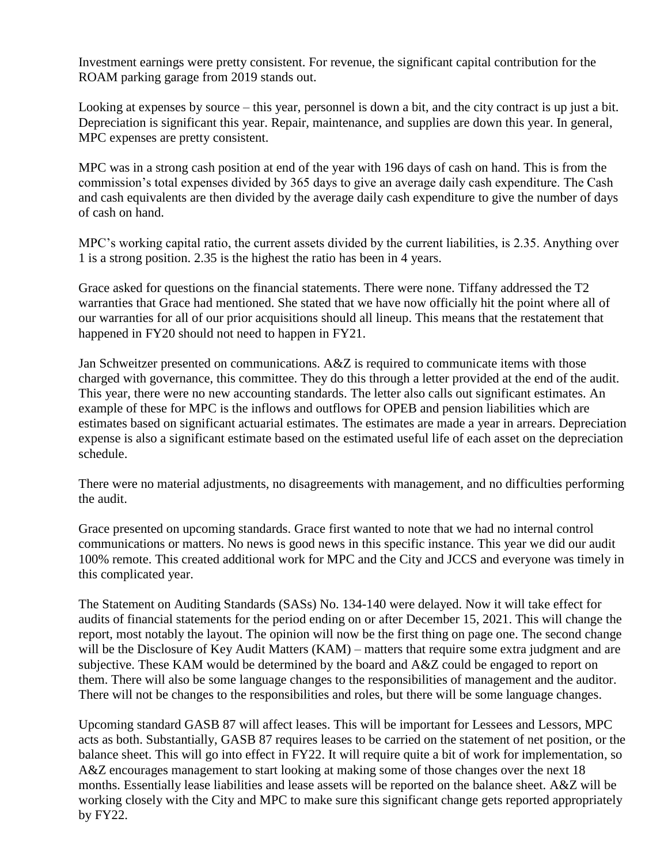Investment earnings were pretty consistent. For revenue, the significant capital contribution for the ROAM parking garage from 2019 stands out.

Looking at expenses by source – this year, personnel is down a bit, and the city contract is up just a bit. Depreciation is significant this year. Repair, maintenance, and supplies are down this year. In general, MPC expenses are pretty consistent.

MPC was in a strong cash position at end of the year with 196 days of cash on hand. This is from the commission's total expenses divided by 365 days to give an average daily cash expenditure. The Cash and cash equivalents are then divided by the average daily cash expenditure to give the number of days of cash on hand.

MPC's working capital ratio, the current assets divided by the current liabilities, is 2.35. Anything over 1 is a strong position. 2.35 is the highest the ratio has been in 4 years.

Grace asked for questions on the financial statements. There were none. Tiffany addressed the T2 warranties that Grace had mentioned. She stated that we have now officially hit the point where all of our warranties for all of our prior acquisitions should all lineup. This means that the restatement that happened in FY20 should not need to happen in FY21.

Jan Schweitzer presented on communications. A&Z is required to communicate items with those charged with governance, this committee. They do this through a letter provided at the end of the audit. This year, there were no new accounting standards. The letter also calls out significant estimates. An example of these for MPC is the inflows and outflows for OPEB and pension liabilities which are estimates based on significant actuarial estimates. The estimates are made a year in arrears. Depreciation expense is also a significant estimate based on the estimated useful life of each asset on the depreciation schedule.

There were no material adjustments, no disagreements with management, and no difficulties performing the audit.

Grace presented on upcoming standards. Grace first wanted to note that we had no internal control communications or matters. No news is good news in this specific instance. This year we did our audit 100% remote. This created additional work for MPC and the City and JCCS and everyone was timely in this complicated year.

The Statement on Auditing Standards (SASs) No. 134-140 were delayed. Now it will take effect for audits of financial statements for the period ending on or after December 15, 2021. This will change the report, most notably the layout. The opinion will now be the first thing on page one. The second change will be the Disclosure of Key Audit Matters (KAM) – matters that require some extra judgment and are subjective. These KAM would be determined by the board and A&Z could be engaged to report on them. There will also be some language changes to the responsibilities of management and the auditor. There will not be changes to the responsibilities and roles, but there will be some language changes.

Upcoming standard GASB 87 will affect leases. This will be important for Lessees and Lessors, MPC acts as both. Substantially, GASB 87 requires leases to be carried on the statement of net position, or the balance sheet. This will go into effect in FY22. It will require quite a bit of work for implementation, so A&Z encourages management to start looking at making some of those changes over the next 18 months. Essentially lease liabilities and lease assets will be reported on the balance sheet. A&Z will be working closely with the City and MPC to make sure this significant change gets reported appropriately by FY22.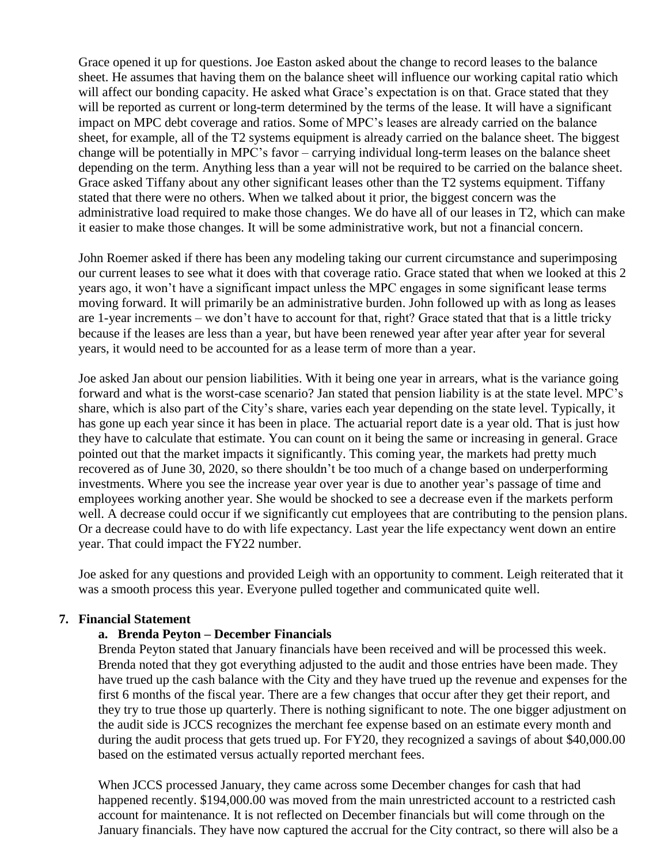Grace opened it up for questions. Joe Easton asked about the change to record leases to the balance sheet. He assumes that having them on the balance sheet will influence our working capital ratio which will affect our bonding capacity. He asked what Grace's expectation is on that. Grace stated that they will be reported as current or long-term determined by the terms of the lease. It will have a significant impact on MPC debt coverage and ratios. Some of MPC's leases are already carried on the balance sheet, for example, all of the T2 systems equipment is already carried on the balance sheet. The biggest change will be potentially in MPC's favor – carrying individual long-term leases on the balance sheet depending on the term. Anything less than a year will not be required to be carried on the balance sheet. Grace asked Tiffany about any other significant leases other than the T2 systems equipment. Tiffany stated that there were no others. When we talked about it prior, the biggest concern was the administrative load required to make those changes. We do have all of our leases in T2, which can make it easier to make those changes. It will be some administrative work, but not a financial concern.

John Roemer asked if there has been any modeling taking our current circumstance and superimposing our current leases to see what it does with that coverage ratio. Grace stated that when we looked at this 2 years ago, it won't have a significant impact unless the MPC engages in some significant lease terms moving forward. It will primarily be an administrative burden. John followed up with as long as leases are 1-year increments – we don't have to account for that, right? Grace stated that that is a little tricky because if the leases are less than a year, but have been renewed year after year after year for several years, it would need to be accounted for as a lease term of more than a year.

Joe asked Jan about our pension liabilities. With it being one year in arrears, what is the variance going forward and what is the worst-case scenario? Jan stated that pension liability is at the state level. MPC's share, which is also part of the City's share, varies each year depending on the state level. Typically, it has gone up each year since it has been in place. The actuarial report date is a year old. That is just how they have to calculate that estimate. You can count on it being the same or increasing in general. Grace pointed out that the market impacts it significantly. This coming year, the markets had pretty much recovered as of June 30, 2020, so there shouldn't be too much of a change based on underperforming investments. Where you see the increase year over year is due to another year's passage of time and employees working another year. She would be shocked to see a decrease even if the markets perform well. A decrease could occur if we significantly cut employees that are contributing to the pension plans. Or a decrease could have to do with life expectancy. Last year the life expectancy went down an entire year. That could impact the FY22 number.

Joe asked for any questions and provided Leigh with an opportunity to comment. Leigh reiterated that it was a smooth process this year. Everyone pulled together and communicated quite well.

### **7. Financial Statement**

### **a. Brenda Peyton – December Financials**

Brenda Peyton stated that January financials have been received and will be processed this week. Brenda noted that they got everything adjusted to the audit and those entries have been made. They have trued up the cash balance with the City and they have trued up the revenue and expenses for the first 6 months of the fiscal year. There are a few changes that occur after they get their report, and they try to true those up quarterly. There is nothing significant to note. The one bigger adjustment on the audit side is JCCS recognizes the merchant fee expense based on an estimate every month and during the audit process that gets trued up. For FY20, they recognized a savings of about \$40,000.00 based on the estimated versus actually reported merchant fees.

When JCCS processed January, they came across some December changes for cash that had happened recently. \$194,000.00 was moved from the main unrestricted account to a restricted cash account for maintenance. It is not reflected on December financials but will come through on the January financials. They have now captured the accrual for the City contract, so there will also be a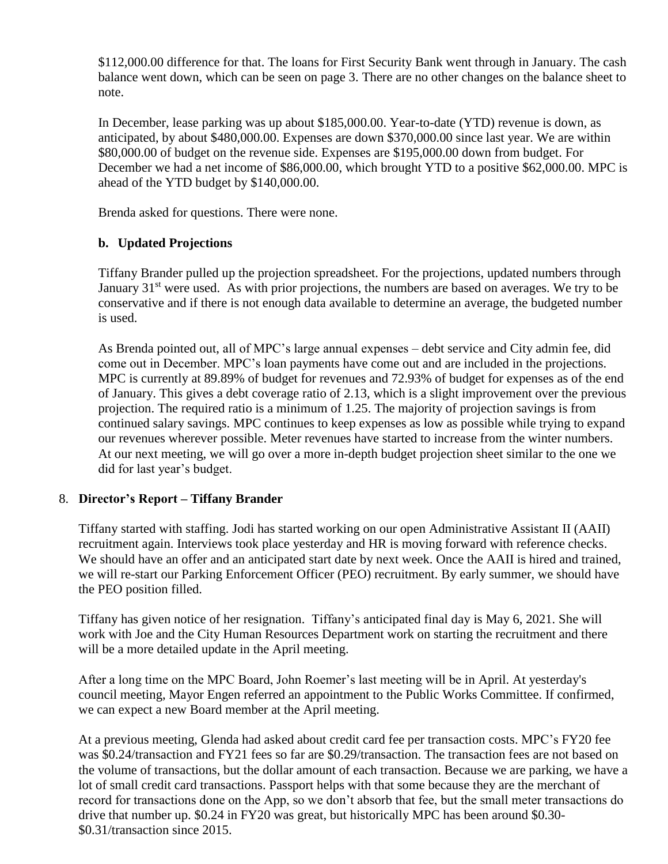\$112,000.00 difference for that. The loans for First Security Bank went through in January. The cash balance went down, which can be seen on page 3. There are no other changes on the balance sheet to note.

In December, lease parking was up about \$185,000.00. Year-to-date (YTD) revenue is down, as anticipated, by about \$480,000.00. Expenses are down \$370,000.00 since last year. We are within \$80,000.00 of budget on the revenue side. Expenses are \$195,000.00 down from budget. For December we had a net income of \$86,000.00, which brought YTD to a positive \$62,000.00. MPC is ahead of the YTD budget by \$140,000.00.

Brenda asked for questions. There were none.

# **b. Updated Projections**

Tiffany Brander pulled up the projection spreadsheet. For the projections, updated numbers through January  $31<sup>st</sup>$  were used. As with prior projections, the numbers are based on averages. We try to be conservative and if there is not enough data available to determine an average, the budgeted number is used.

As Brenda pointed out, all of MPC's large annual expenses – debt service and City admin fee, did come out in December. MPC's loan payments have come out and are included in the projections. MPC is currently at 89.89% of budget for revenues and 72.93% of budget for expenses as of the end of January. This gives a debt coverage ratio of 2.13, which is a slight improvement over the previous projection. The required ratio is a minimum of 1.25. The majority of projection savings is from continued salary savings. MPC continues to keep expenses as low as possible while trying to expand our revenues wherever possible. Meter revenues have started to increase from the winter numbers. At our next meeting, we will go over a more in-depth budget projection sheet similar to the one we did for last year's budget.

## 8. **Director's Report – Tiffany Brander**

Tiffany started with staffing. Jodi has started working on our open Administrative Assistant II (AAII) recruitment again. Interviews took place yesterday and HR is moving forward with reference checks. We should have an offer and an anticipated start date by next week. Once the AAII is hired and trained, we will re-start our Parking Enforcement Officer (PEO) recruitment. By early summer, we should have the PEO position filled.

Tiffany has given notice of her resignation. Tiffany's anticipated final day is May 6, 2021. She will work with Joe and the City Human Resources Department work on starting the recruitment and there will be a more detailed update in the April meeting.

After a long time on the MPC Board, John Roemer's last meeting will be in April. At yesterday's council meeting, Mayor Engen referred an appointment to the Public Works Committee. If confirmed, we can expect a new Board member at the April meeting.

At a previous meeting, Glenda had asked about credit card fee per transaction costs. MPC's FY20 fee was \$0.24/transaction and FY21 fees so far are \$0.29/transaction. The transaction fees are not based on the volume of transactions, but the dollar amount of each transaction. Because we are parking, we have a lot of small credit card transactions. Passport helps with that some because they are the merchant of record for transactions done on the App, so we don't absorb that fee, but the small meter transactions do drive that number up. \$0.24 in FY20 was great, but historically MPC has been around \$0.30- \$0.31/transaction since 2015.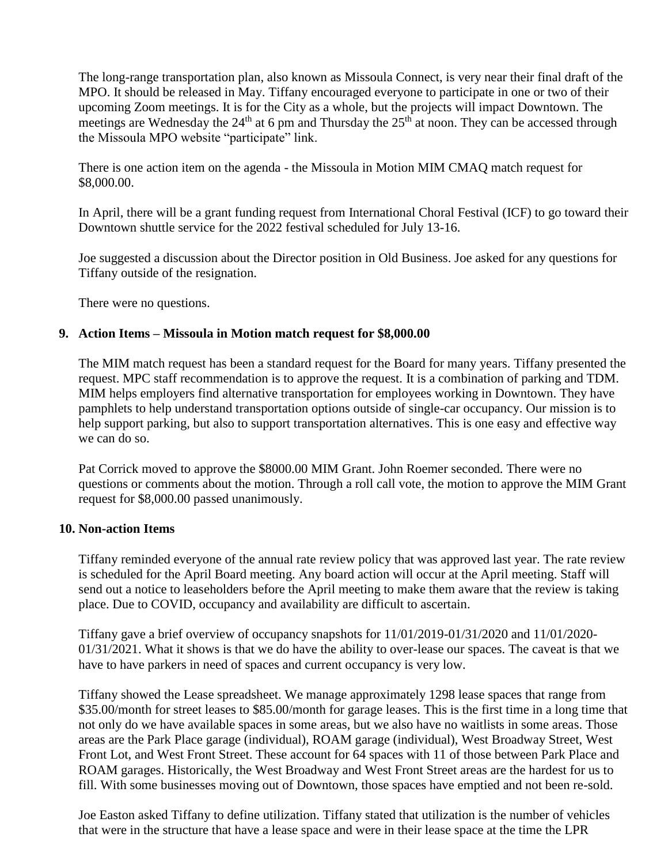The long-range transportation plan, also known as Missoula Connect, is very near their final draft of the MPO. It should be released in May. Tiffany encouraged everyone to participate in one or two of their upcoming Zoom meetings. It is for the City as a whole, but the projects will impact Downtown. The meetings are Wednesday the  $24<sup>th</sup>$  at 6 pm and Thursday the  $25<sup>th</sup>$  at noon. They can be accessed through the Missoula MPO website "participate" link.

There is one action item on the agenda - the Missoula in Motion MIM CMAQ match request for \$8,000.00.

In April, there will be a grant funding request from International Choral Festival (ICF) to go toward their Downtown shuttle service for the 2022 festival scheduled for July 13-16.

Joe suggested a discussion about the Director position in Old Business. Joe asked for any questions for Tiffany outside of the resignation.

There were no questions.

### **9. Action Items – Missoula in Motion match request for \$8,000.00**

The MIM match request has been a standard request for the Board for many years. Tiffany presented the request. MPC staff recommendation is to approve the request. It is a combination of parking and TDM. MIM helps employers find alternative transportation for employees working in Downtown. They have pamphlets to help understand transportation options outside of single-car occupancy. Our mission is to help support parking, but also to support transportation alternatives. This is one easy and effective way we can do so.

Pat Corrick moved to approve the \$8000.00 MIM Grant. John Roemer seconded. There were no questions or comments about the motion. Through a roll call vote, the motion to approve the MIM Grant request for \$8,000.00 passed unanimously.

### **10. Non-action Items**

Tiffany reminded everyone of the annual rate review policy that was approved last year. The rate review is scheduled for the April Board meeting. Any board action will occur at the April meeting. Staff will send out a notice to leaseholders before the April meeting to make them aware that the review is taking place. Due to COVID, occupancy and availability are difficult to ascertain.

Tiffany gave a brief overview of occupancy snapshots for 11/01/2019-01/31/2020 and 11/01/2020- 01/31/2021. What it shows is that we do have the ability to over-lease our spaces. The caveat is that we have to have parkers in need of spaces and current occupancy is very low.

Tiffany showed the Lease spreadsheet. We manage approximately 1298 lease spaces that range from \$35.00/month for street leases to \$85.00/month for garage leases. This is the first time in a long time that not only do we have available spaces in some areas, but we also have no waitlists in some areas. Those areas are the Park Place garage (individual), ROAM garage (individual), West Broadway Street, West Front Lot, and West Front Street. These account for 64 spaces with 11 of those between Park Place and ROAM garages. Historically, the West Broadway and West Front Street areas are the hardest for us to fill. With some businesses moving out of Downtown, those spaces have emptied and not been re-sold.

Joe Easton asked Tiffany to define utilization. Tiffany stated that utilization is the number of vehicles that were in the structure that have a lease space and were in their lease space at the time the LPR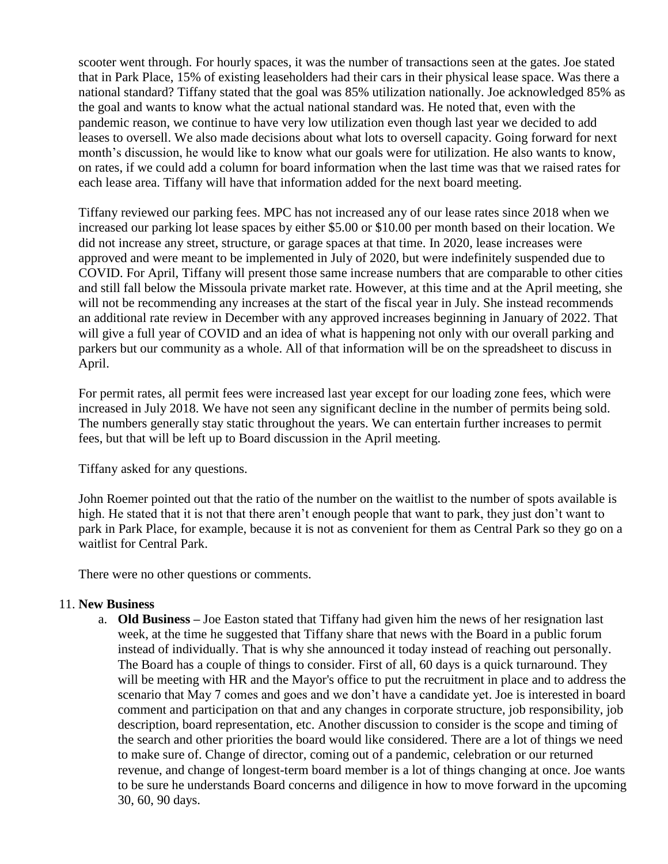scooter went through. For hourly spaces, it was the number of transactions seen at the gates. Joe stated that in Park Place, 15% of existing leaseholders had their cars in their physical lease space. Was there a national standard? Tiffany stated that the goal was 85% utilization nationally. Joe acknowledged 85% as the goal and wants to know what the actual national standard was. He noted that, even with the pandemic reason, we continue to have very low utilization even though last year we decided to add leases to oversell. We also made decisions about what lots to oversell capacity. Going forward for next month's discussion, he would like to know what our goals were for utilization. He also wants to know, on rates, if we could add a column for board information when the last time was that we raised rates for each lease area. Tiffany will have that information added for the next board meeting.

Tiffany reviewed our parking fees. MPC has not increased any of our lease rates since 2018 when we increased our parking lot lease spaces by either \$5.00 or \$10.00 per month based on their location. We did not increase any street, structure, or garage spaces at that time. In 2020, lease increases were approved and were meant to be implemented in July of 2020, but were indefinitely suspended due to COVID. For April, Tiffany will present those same increase numbers that are comparable to other cities and still fall below the Missoula private market rate. However, at this time and at the April meeting, she will not be recommending any increases at the start of the fiscal year in July. She instead recommends an additional rate review in December with any approved increases beginning in January of 2022. That will give a full year of COVID and an idea of what is happening not only with our overall parking and parkers but our community as a whole. All of that information will be on the spreadsheet to discuss in April.

For permit rates, all permit fees were increased last year except for our loading zone fees, which were increased in July 2018. We have not seen any significant decline in the number of permits being sold. The numbers generally stay static throughout the years. We can entertain further increases to permit fees, but that will be left up to Board discussion in the April meeting.

Tiffany asked for any questions.

John Roemer pointed out that the ratio of the number on the waitlist to the number of spots available is high. He stated that it is not that there aren't enough people that want to park, they just don't want to park in Park Place, for example, because it is not as convenient for them as Central Park so they go on a waitlist for Central Park.

There were no other questions or comments.

### 11. **New Business**

a. **Old Business –** Joe Easton stated that Tiffany had given him the news of her resignation last week, at the time he suggested that Tiffany share that news with the Board in a public forum instead of individually. That is why she announced it today instead of reaching out personally. The Board has a couple of things to consider. First of all, 60 days is a quick turnaround. They will be meeting with HR and the Mayor's office to put the recruitment in place and to address the scenario that May 7 comes and goes and we don't have a candidate yet. Joe is interested in board comment and participation on that and any changes in corporate structure, job responsibility, job description, board representation, etc. Another discussion to consider is the scope and timing of the search and other priorities the board would like considered. There are a lot of things we need to make sure of. Change of director, coming out of a pandemic, celebration or our returned revenue, and change of longest-term board member is a lot of things changing at once. Joe wants to be sure he understands Board concerns and diligence in how to move forward in the upcoming 30, 60, 90 days.